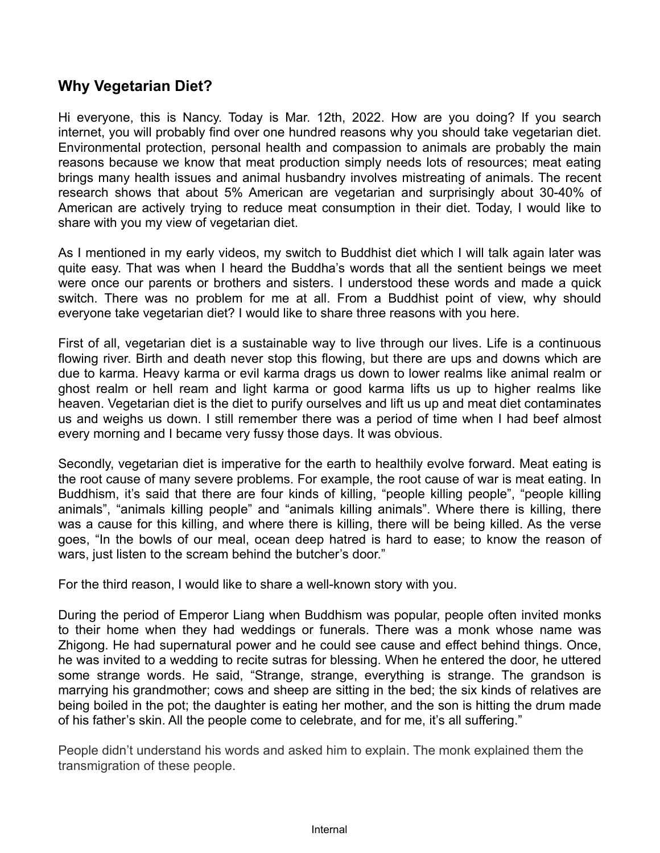## **Why Vegetarian Diet?**

Hi everyone, this is Nancy. Today is Mar. 12th, 2022. How are you doing? If you search internet, you will probably find over one hundred reasons why you should take vegetarian diet. Environmental protection, personal health and compassion to animals are probably the main reasons because we know that meat production simply needs lots of resources; meat eating brings many health issues and animal husbandry involves mistreating of animals. The recent research shows that about 5% American are vegetarian and surprisingly about 30-40% of American are actively trying to reduce meat consumption in their diet. Today, I would like to share with you my view of vegetarian diet.

As I mentioned in my early videos, my switch to Buddhist diet which I will talk again later was quite easy. That was when I heard the Buddha's words that all the sentient beings we meet were once our parents or brothers and sisters. I understood these words and made a quick switch. There was no problem for me at all. From a Buddhist point of view, why should everyone take vegetarian diet? I would like to share three reasons with you here.

First of all, vegetarian diet is a sustainable way to live through our lives. Life is a continuous flowing river. Birth and death never stop this flowing, but there are ups and downs which are due to karma. Heavy karma or evil karma drags us down to lower realms like animal realm or ghost realm or hell ream and light karma or good karma lifts us up to higher realms like heaven. Vegetarian diet is the diet to purify ourselves and lift us up and meat diet contaminates us and weighs us down. I still remember there was a period of time when I had beef almost every morning and I became very fussy those days. It was obvious.

Secondly, vegetarian diet is imperative for the earth to healthily evolve forward. Meat eating is the root cause of many severe problems. For example, the root cause of war is meat eating. In Buddhism, it's said that there are four kinds of killing, "people killing people", "people killing animals", "animals killing people" and "animals killing animals". Where there is killing, there was a cause for this killing, and where there is killing, there will be being killed. As the verse goes, "In the bowls of our meal, ocean deep hatred is hard to ease; to know the reason of wars, just listen to the scream behind the butcher's door."

For the third reason, I would like to share a well-known story with you.

During the period of Emperor Liang when Buddhism was popular, people often invited monks to their home when they had weddings or funerals. There was a monk whose name was Zhigong. He had supernatural power and he could see cause and effect behind things. Once, he was invited to a wedding to recite sutras for blessing. When he entered the door, he uttered some strange words. He said, "Strange, strange, everything is strange. The grandson is marrying his grandmother; cows and sheep are sitting in the bed; the six kinds of relatives are being boiled in the pot; the daughter is eating her mother, and the son is hitting the drum made of his father's skin. All the people come to celebrate, and for me, it's all suffering."

People didn't understand his words and asked him to explain. The monk explained them the transmigration of these people.